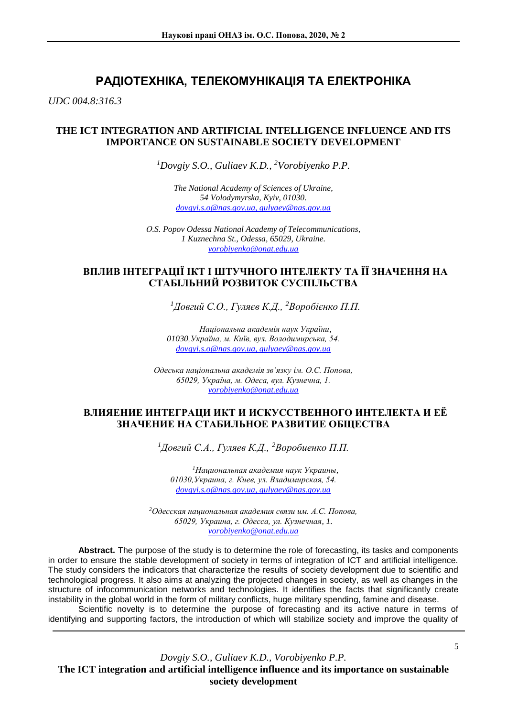# **РАДІОТЕХНІКА, ТЕЛЕКОМУНІКАЦІЯ ТА ЕЛЕКТРОНІКА**

*UDC 004.8:316.3*

## **THE ICT INTEGRATION AND ARTIFICIAL INTELLIGENCE INFLUENCE AND ITS IMPORTANCE ON SUSTAINABLE SOCIETY DEVELOPMENT**

*<sup>1</sup>Dovgiy S.O., Guliaev K.D., <sup>2</sup>Vorobiyenko P.P.*

*The National Academy of Sciences of Ukraine, 54 Volodymyrska, Kyiv, 01030. dovgyi.s.o@nas.gov.ua, gulyaev@nas.gov.ua*

*О.S. Popov Odessa National Academy of Telecommunications, 1 Kuznechna St., Odessa, 65029, Ukraine. vorobiyenko@onat.edu.ua* 

# **ВПЛИВ ІНТЕГРАЦІЇ ІКТ І ШТУЧНОГО ІНТЕЛЕКТУ ТА ЇЇ ЗНАЧЕННЯ НА СТАБІЛЬНИЙ РОЗВИТОК СУСПІЛЬСТВА**

*<sup>1</sup>Довгий С.О., Гуляєв К.Д., <sup>2</sup>Воробієнко П.П.*

*Національна академія наук України, 01030,Україна, м. Київ, вул. Володимирська, 54. dovgyi.s.o@nas.gov.ua, gulyaev@nas.gov.ua*

*Одеська національна академія зв'язку ім. О.С. Попова, 65029, Україна, м. Одеса, вул. Кузнечна, 1. vorobiyenko@onat.edu.ua* 

## **ВЛИЯЕНИЕ ИНТЕГРАЦИ ИКТ И ИСКУССТВЕННОГО ИНТЕЛЕКТА И ЕЁ ЗНАЧЕНИЕ НА СТАБИЛЬНОЕ РАЗВИТИЕ ОБЩЕСТВА**

*<sup>1</sup>Довгий С.А., Гуляев К.Д., <sup>2</sup>Воробиенко П.П.*

*<sup>1</sup>Национальная академия наук Украины, 01030,Украина, г. Киев, ул. Владимирская, 54. dovgyi.s.o@nas.gov.ua, gulyaev@nas.gov.ua*

*<sup>2</sup>Одесская национальная академия связи им. А.С. Попова, 65029, Украина, г. Одесса, ул. Кузнечная, 1. vorobiyenko@onat.edu.ua* 

**Abstract.** The purpose of the study is to determine the role of forecasting, its tasks and components in order to ensure the stable development of society in terms of integration of ICT and artificial intelligence. The study considers the indicators that characterize the results of society development due to scientific and technological progress. It also aims at analyzing the projected changes in society, as well as changes in the structure of infocommunication networks and technologies. It identifies the facts that significantly create instability in the global world in the form of military conflicts, huge military spending, famine and disease.

Scientific novelty is to determine the purpose of forecasting and its active nature in terms of identifying and supporting factors, the introduction of which will stabilize society and improve the quality of

*Dovgiy S.O., Guliaev K.D., Vorobiyenko P.P.*  **The ICT integration and artificial intelligence influence and its importance on sustainable society development**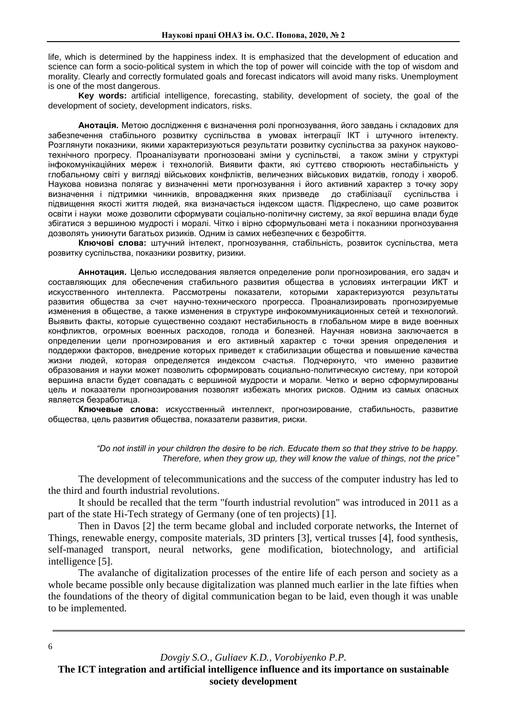life, which is determined by the happiness index. It is emphasized that the development of education and science can form a socio-political system in which the top of power will coincide with the top of wisdom and morality. Clearly and correctly formulated goals and forecast indicators will avoid many risks. Unemployment is one of the most dangerous.

**Key words:** artificial intelligence, forecasting, stability, development of society, the goal of the development of society, development indicators, risks.

**Анотація.** Метою дослідження є визначення ролі прогнозування, його завдань і складових для забезпечення стабільного розвитку суспільства в умовах інтеграції ІКТ і штучного інтелекту. Розглянути показники, якими характеризуються результати розвитку суспільства за рахунок науковотехнічного прогресу. Проаналізувати прогнозовані зміни у суспільстві, а також зміни у структурі інфокомунікаційних мереж і технологій. Виявити факти, які суттєво створюють нестабільність у глобальному світі у вигляді військових конфліктів, величезних військових видатків, голоду і хвороб. Наукова новизна полягає у визначенні мети прогнозування і його активний характер з точку зору визначення і підтримки чинників, впровадження яких призведе до стабілізації суспільства і підвищення якості життя людей, яка визначається індексом щастя. Підкреслено, що саме розвиток освіти і науки може дозволити сформувати соціально-політичну систему, за якої вершина влади буде збігатися з вершиною мудрості і моралі. Чітко і вірно сформульовані мета і показники прогнозування дозволять уникнути багатьох ризиків. Одним із самих небезпечних є безробіття.

**Ключові слова:** штучний інтелект, прогнозування, стабільність, розвиток суспільства, мета розвитку суспільства, показники розвитку, ризики.

**Аннотация.** Целью исследования является определение роли прогнозирования, его задач и составляющих для обеспечения стабильного развития общества в условиях интеграции ИКТ и искусственного интеллекта. Рассмотрены показатели, которыми характеризуются результаты развития общества за счет научно-технического прогресса. Проанализировать прогнозируемые изменения в обществе, а также изменения в структуре инфокоммуникационных сетей и технологий. Выявить факты, которые существенно создают нестабильность в глобальном мире в виде военных конфликтов, огромных военных расходов, голода и болезней. Научная новизна заключается в определении цели прогнозирования и его активный характер с точки зрения определения и поддержки факторов, внедрение которых приведет к стабилизации общества и повышение качества жизни людей, которая определяется индексом счастья. Подчеркнуто, что именно развитие образования и науки может позволить сформировать социально-политическую систему, при которой вершина власти будет совпадать с вершиной мудрости и морали. Четко и верно сформулированы цель и показатели прогнозирования позволят избежать многих рисков. Одним из самых опасных является безработица.

**Ключевые слова:** искусственный интеллект, прогнозирование, стабильность, развитие общества, цель развития общества, показатели развития, риски.

> *"Do not instill in your children the desire to be rich. Educate them so that they strive to be happy. Therefore, when they grow up, they will know the value of things, not the price"*

The development of telecommunications and the success of the computer industry has led to the third and fourth industrial revolutions.

It should be recalled that the term "fourth industrial revolution" was introduced in 2011 as a part of the state Hi-Tech strategy of Germany (one of ten projects) [1].

Then in Davos [2] the term became global and included corporate networks, the Internet of Things, renewable energy, composite materials, 3D printers [3], vertical trusses [4], food synthesis, self-managed transport, neural networks, gene modification, biotechnology, and artificial intelligence [5].

The avalanche of digitalization processes of the entire life of each person and society as a whole became possible only because digitalization was planned much earlier in the late fifties when the foundations of the theory of digital communication began to be laid, even though it was unable to be implemented.

*Dovgiy S.O., Guliaev K.D., Vorobiyenko P.P.*

6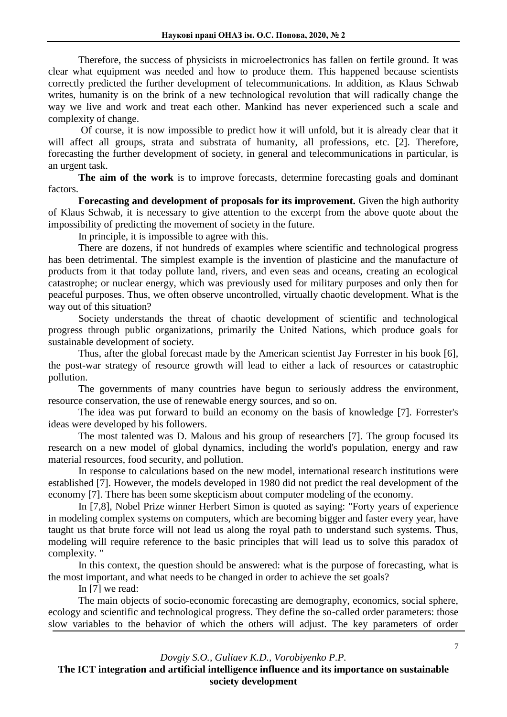Therefore, the success of physicists in microelectronics has fallen on fertile ground. It was clear what equipment was needed and how to produce them. This happened because scientists correctly predicted the further development of telecommunications. In addition, as Klaus Schwab writes, humanity is on the brink of a new technological revolution that will radically change the way we live and work and treat each other. Mankind has never experienced such a scale and complexity of change.

Of course, it is now impossible to predict how it will unfold, but it is already clear that it will affect all groups, strata and substrata of humanity, all professions, etc. [2]. Therefore, forecasting the further development of society, in general and telecommunications in particular, is an urgent task.

**The aim of the work** is to improve forecasts, determine forecasting goals and dominant factors.

**Forecasting and development of proposals for its improvement.** Given the high authority of Klaus Schwab, it is necessary to give attention to the excerpt from the above quote about the impossibility of predicting the movement of society in the future.

In principle, it is impossible to agree with this.

There are dozens, if not hundreds of examples where scientific and technological progress has been detrimental. The simplest example is the invention of plasticine and the manufacture of products from it that today pollute land, rivers, and even seas and oceans, creating an ecological catastrophe; or nuclear energy, which was previously used for military purposes and only then for peaceful purposes. Thus, we often observe uncontrolled, virtually chaotic development. What is the way out of this situation?

Society understands the threat of chaotic development of scientific and technological progress through public organizations, primarily the United Nations, which produce goals for sustainable development of society.

Thus, after the global forecast made by the American scientist Jay Forrester in his book [6], the post-war strategy of resource growth will lead to either a lack of resources or catastrophic pollution.

The governments of many countries have begun to seriously address the environment, resource conservation, the use of renewable energy sources, and so on.

The idea was put forward to build an economy on the basis of knowledge [7]. Forrester's ideas were developed by his followers.

The most talented was D. Malous and his group of researchers [7]. The group focused its research on a new model of global dynamics, including the world's population, energy and raw material resources, food security, and pollution.

In response to calculations based on the new model, international research institutions were established [7]. However, the models developed in 1980 did not predict the real development of the economy [7]. There has been some skepticism about computer modeling of the economy.

In [7,8], Nobel Prize winner Herbert Simon is quoted as saying: "Forty years of experience in modeling complex systems on computers, which are becoming bigger and faster every year, have taught us that brute force will not lead us along the royal path to understand such systems. Thus, modeling will require reference to the basic principles that will lead us to solve this paradox of complexity. "

In this context, the question should be answered: what is the purpose of forecasting, what is the most important, and what needs to be changed in order to achieve the set goals?

In [7] we read:

The main objects of socio-economic forecasting are demography, economics, social sphere, ecology and scientific and technological progress. They define the so-called order parameters: those slow variables to the behavior of which the others will adjust. The key parameters of order

*Dovgiy S.O., Guliaev K.D., Vorobiyenko P.P.*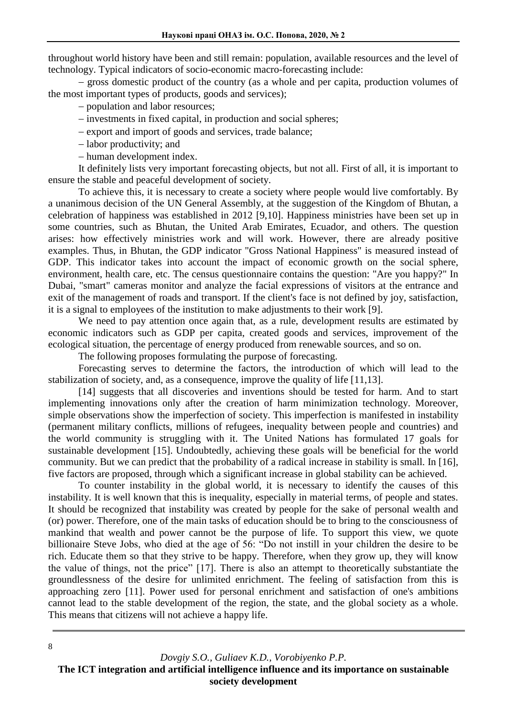throughout world history have been and still remain: population, available resources and the level of technology. Typical indicators of socio-economic macro-forecasting include:

– gross domestic product of the country (as a whole and per capita, production volumes of the most important types of products, goods and services);

population and labor resources;

- investments in fixed capital, in production and social spheres;

- export and import of goods and services, trade balance:

– labor productivity; and

- human development index.

It definitely lists very important forecasting objects, but not all. First of all, it is important to ensure the stable and peaceful development of society.

To achieve this, it is necessary to create a society where people would live comfortably. By a unanimous decision of the UN General Assembly, at the suggestion of the Kingdom of Bhutan, a celebration of happiness was established in 2012 [9,10]. Happiness ministries have been set up in some countries, such as Bhutan, the United Arab Emirates, Ecuador, and others. The question arises: how effectively ministries work and will work. However, there are already positive examples. Thus, in Bhutan, the GDP indicator "Gross National Happiness" is measured instead of GDP. This indicator takes into account the impact of economic growth on the social sphere, environment, health care, etc. The census questionnaire contains the question: "Are you happy?" In Dubai, "smart" cameras monitor and analyze the facial expressions of visitors at the entrance and exit of the management of roads and transport. If the client's face is not defined by joy, satisfaction, it is a signal to employees of the institution to make adjustments to their work [9].

We need to pay attention once again that, as a rule, development results are estimated by economic indicators such as GDP per capita, created goods and services, improvement of the ecological situation, the percentage of energy produced from renewable sources, and so on.

The following proposes formulating the purpose of forecasting.

Forecasting serves to determine the factors, the introduction of which will lead to the stabilization of society, and, as a consequence, improve the quality of life [11,13].

[14] suggests that all discoveries and inventions should be tested for harm. And to start implementing innovations only after the creation of harm minimization technology. Moreover, simple observations show the imperfection of society. This imperfection is manifested in instability (permanent military conflicts, millions of refugees, inequality between people and countries) and the world community is struggling with it. The United Nations has formulated 17 goals for sustainable development [15]. Undoubtedly, achieving these goals will be beneficial for the world community. But we can predict that the probability of a radical increase in stability is small. In [16], five factors are proposed, through which a significant increase in global stability can be achieved.

To counter instability in the global world, it is necessary to identify the causes of this instability. It is well known that this is inequality, especially in material terms, of people and states. It should be recognized that instability was created by people for the sake of personal wealth and (or) power. Therefore, one of the main tasks of education should be to bring to the consciousness of mankind that wealth and power cannot be the purpose of life. To support this view, we quote billionaire Steve Jobs, who died at the age of 56: "Do not instill in your children the desire to be rich. Educate them so that they strive to be happy. Therefore, when they grow up, they will know the value of things, not the price" [17]. There is also an attempt to theoretically substantiate the groundlessness of the desire for unlimited enrichment. The feeling of satisfaction from this is approaching zero [11]. Power used for personal enrichment and satisfaction of one's ambitions cannot lead to the stable development of the region, the state, and the global society as a whole. This means that citizens will not achieve a happy life.

*Dovgiy S.O., Guliaev K.D., Vorobiyenko P.P.* **The ICT integration and artificial intelligence influence and its importance on sustainable society development**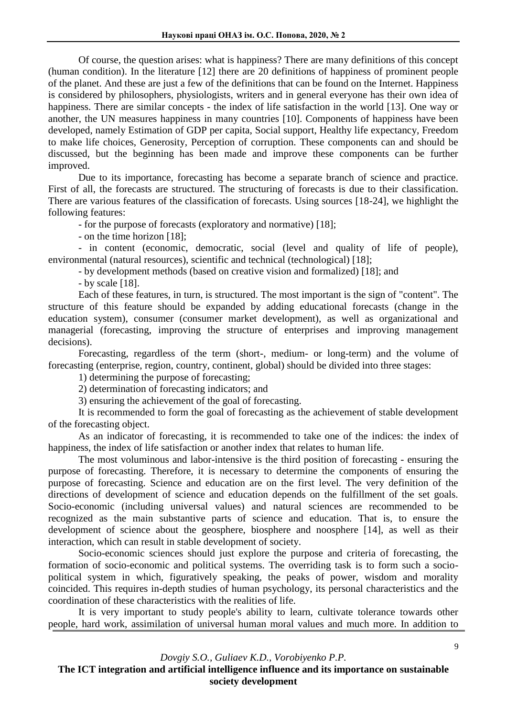Of course, the question arises: what is happiness? There are many definitions of this concept (human condition). In the literature [12] there are 20 definitions of happiness of prominent people of the planet. And these are just a few of the definitions that can be found on the Internet. Happiness is considered by philosophers, physiologists, writers and in general everyone has their own idea of happiness. There are similar concepts - the index of life satisfaction in the world [13]. One way or another, the UN measures happiness in many countries [10]. Components of happiness have been developed, namely Estimation of GDP per capita, Social support, Healthy life expectancy, Freedom to make life choices, Generosity, Perception of corruption. These components can and should be discussed, but the beginning has been made and improve these components can be further improved.

Due to its importance, forecasting has become a separate branch of science and practice. First of all, the forecasts are structured. The structuring of forecasts is due to their classification. There are various features of the classification of forecasts. Using sources [18-24], we highlight the following features:

- for the purpose of forecasts (exploratory and normative) [18];

- on the time horizon [18];

- in content (economic, democratic, social (level and quality of life of people), environmental (natural resources), scientific and technical (technological) [18];

- by development methods (based on creative vision and formalized) [18]; and

- by scale [18].

Each of these features, in turn, is structured. The most important is the sign of "content". The structure of this feature should be expanded by adding educational forecasts (change in the education system), consumer (consumer market development), as well as organizational and managerial (forecasting, improving the structure of enterprises and improving management decisions).

Forecasting, regardless of the term (short-, medium- or long-term) and the volume of forecasting (enterprise, region, country, continent, global) should be divided into three stages:

1) determining the purpose of forecasting;

2) determination of forecasting indicators; and

3) ensuring the achievement of the goal of forecasting.

It is recommended to form the goal of forecasting as the achievement of stable development of the forecasting object.

As an indicator of forecasting, it is recommended to take one of the indices: the index of happiness, the index of life satisfaction or another index that relates to human life.

The most voluminous and labor-intensive is the third position of forecasting - ensuring the purpose of forecasting. Therefore, it is necessary to determine the components of ensuring the purpose of forecasting. Science and education are on the first level. The very definition of the directions of development of science and education depends on the fulfillment of the set goals. Socio-economic (including universal values) and natural sciences are recommended to be recognized as the main substantive parts of science and education. That is, to ensure the development of science about the geosphere, biosphere and noosphere [14], as well as their interaction, which can result in stable development of society.

Socio-economic sciences should just explore the purpose and criteria of forecasting, the formation of socio-economic and political systems. The overriding task is to form such a sociopolitical system in which, figuratively speaking, the peaks of power, wisdom and morality coincided. This requires in-depth studies of human psychology, its personal characteristics and the coordination of these characteristics with the realities of life.

It is very important to study people's ability to learn, cultivate tolerance towards other people, hard work, assimilation of universal human moral values and much more. In addition to

*Dovgiy S.O., Guliaev K.D., Vorobiyenko P.P.*  **The ICT integration and artificial intelligence influence and its importance on sustainable society development**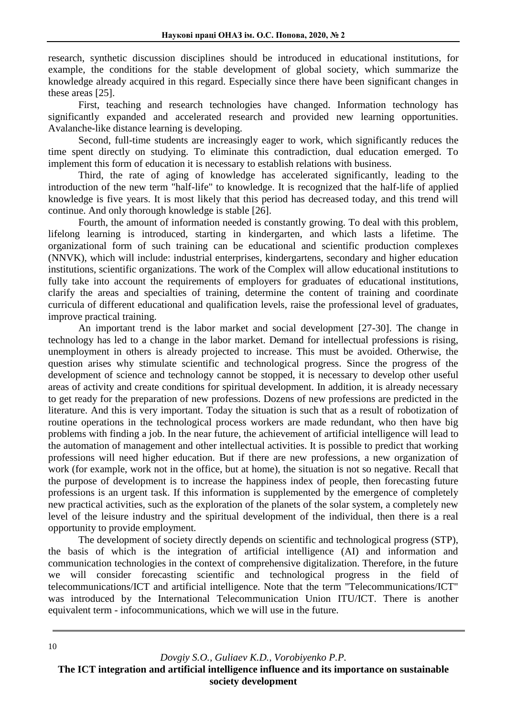research, synthetic discussion disciplines should be introduced in educational institutions, for example, the conditions for the stable development of global society, which summarize the knowledge already acquired in this regard. Especially since there have been significant changes in these areas [25].

First, teaching and research technologies have changed. Information technology has significantly expanded and accelerated research and provided new learning opportunities. Avalanche-like distance learning is developing.

Second, full-time students are increasingly eager to work, which significantly reduces the time spent directly on studying. To eliminate this contradiction, dual education emerged. To implement this form of education it is necessary to establish relations with business.

Third, the rate of aging of knowledge has accelerated significantly, leading to the introduction of the new term "half-life" to knowledge. It is recognized that the half-life of applied knowledge is five years. It is most likely that this period has decreased today, and this trend will continue. And only thorough knowledge is stable [26].

Fourth, the amount of information needed is constantly growing. To deal with this problem, lifelong learning is introduced, starting in kindergarten, and which lasts a lifetime. The organizational form of such training can be educational and scientific production complexes (NNVK), which will include: industrial enterprises, kindergartens, secondary and higher education institutions, scientific organizations. The work of the Complex will allow educational institutions to fully take into account the requirements of employers for graduates of educational institutions, clarify the areas and specialties of training, determine the content of training and coordinate curricula of different educational and qualification levels, raise the professional level of graduates, improve practical training.

An important trend is the labor market and social development [27-30]. The change in technology has led to a change in the labor market. Demand for intellectual professions is rising, unemployment in others is already projected to increase. This must be avoided. Otherwise, the question arises why stimulate scientific and technological progress. Since the progress of the development of science and technology cannot be stopped, it is necessary to develop other useful areas of activity and create conditions for spiritual development. In addition, it is already necessary to get ready for the preparation of new professions. Dozens of new professions are predicted in the literature. And this is very important. Today the situation is such that as a result of robotization of routine operations in the technological process workers are made redundant, who then have big problems with finding a job. In the near future, the achievement of artificial intelligence will lead to the automation of management and other intellectual activities. It is possible to predict that working professions will need higher education. But if there are new professions, a new organization of work (for example, work not in the office, but at home), the situation is not so negative. Recall that the purpose of development is to increase the happiness index of people, then forecasting future professions is an urgent task. If this information is supplemented by the emergence of completely new practical activities, such as the exploration of the planets of the solar system, a completely new level of the leisure industry and the spiritual development of the individual, then there is a real opportunity to provide employment.

The development of society directly depends on scientific and technological progress (STP), the basis of which is the integration of artificial intelligence (AI) and information and communication technologies in the context of comprehensive digitalization. Therefore, in the future we will consider forecasting scientific and technological progress in the field of telecommunications/ICT and artificial intelligence. Note that the term "Telecommunications/ICT" was introduced by the International Telecommunication Union ITU/ICT. There is another equivalent term - infocommunications, which we will use in the future.

*Dovgiy S.O., Guliaev K.D., Vorobiyenko P.P.* **The ICT integration and artificial intelligence influence and its importance on sustainable society development**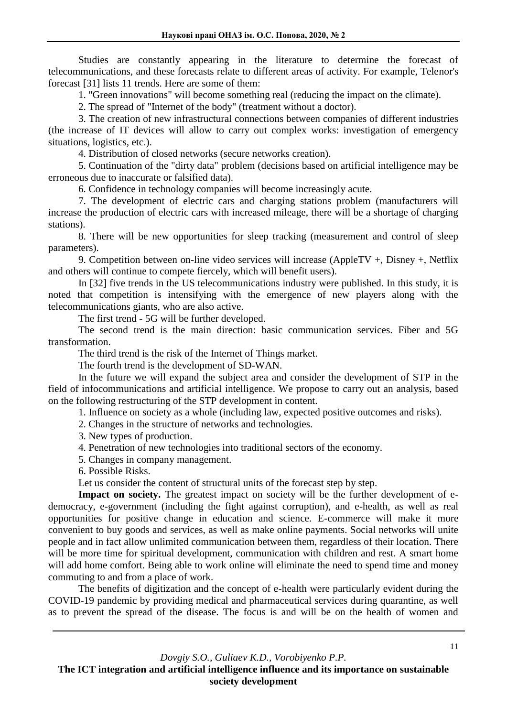Studies are constantly appearing in the literature to determine the forecast of telecommunications, and these forecasts relate to different areas of activity. For example, Telenor's forecast [31] lists 11 trends. Here are some of them:

1. "Green innovations" will become something real (reducing the impact on the climate).

2. The spread of "Internet of the body" (treatment without a doctor).

3. The creation of new infrastructural connections between companies of different industries (the increase of IT devices will allow to carry out complex works: investigation of emergency situations, logistics, etc.).

4. Distribution of closed networks (secure networks creation).

5. Continuation of the "dirty data" problem (decisions based on artificial intelligence may be erroneous due to inaccurate or falsified data).

6. Confidence in technology companies will become increasingly acute.

7. The development of electric cars and charging stations problem (manufacturers will increase the production of electric cars with increased mileage, there will be a shortage of charging stations).

8. There will be new opportunities for sleep tracking (measurement and control of sleep parameters).

9. Competition between on-line video services will increase (AppleTV +, Disney +, Netflix and others will continue to compete fiercely, which will benefit users).

In [32] five trends in the US telecommunications industry were published. In this study, it is noted that competition is intensifying with the emergence of new players along with the telecommunications giants, who are also active.

The first trend - 5G will be further developed.

The second trend is the main direction: basic communication services. Fiber and 5G transformation.

The third trend is the risk of the Internet of Things market.

The fourth trend is the development of SD-WAN.

In the future we will expand the subject area and consider the development of STP in the field of infocommunications and artificial intelligence. We propose to carry out an analysis, based on the following restructuring of the STP development in content.

1. Influence on society as a whole (including law, expected positive outcomes and risks).

- 2. Changes in the structure of networks and technologies.
- 3. New types of production.
- 4. Penetration of new technologies into traditional sectors of the economy.
- 5. Changes in company management.
- 6. Possible Risks.

Let us consider the content of structural units of the forecast step by step.

Impact on society. The greatest impact on society will be the further development of edemocracy, e-government (including the fight against corruption), and e-health, as well as real opportunities for positive change in education and science. E-commerce will make it more convenient to buy goods and services, as well as make online payments. Social networks will unite people and in fact allow unlimited communication between them, regardless of their location. There will be more time for spiritual development, communication with children and rest. A smart home will add home comfort. Being able to work online will eliminate the need to spend time and money commuting to and from a place of work.

The benefits of digitization and the concept of e-health were particularly evident during the COVID-19 pandemic by providing medical and pharmaceutical services during quarantine, as well as to prevent the spread of the disease. The focus is and will be on the health of women and

*Dovgiy S.O., Guliaev K.D., Vorobiyenko P.P.*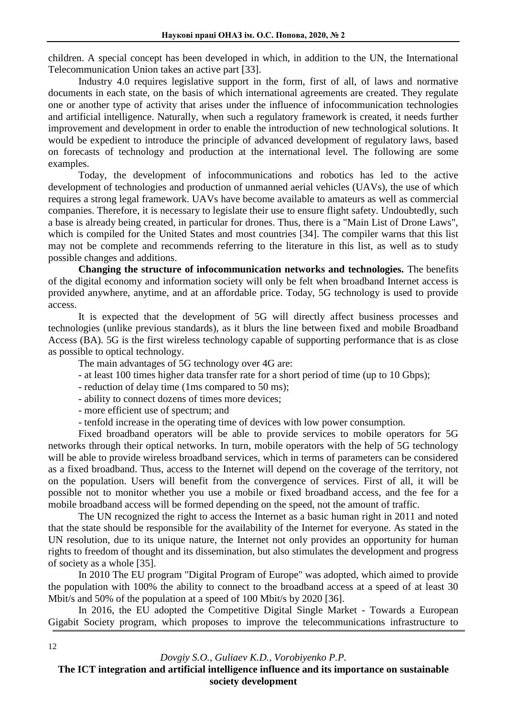children. A special concept has been developed in which, in addition to the UN, the International Telecommunication Union takes an active part [33].

Industry 4.0 requires legislative support in the form, first of all, of laws and normative documents in each state, on the basis of which international agreements are created. They regulate one or another type of activity that arises under the influence of infocommunication technologies and artificial intelligence. Naturally, when such a regulatory framework is created, it needs further improvement and development in order to enable the introduction of new technological solutions. It would be expedient to introduce the principle of advanced development of regulatory laws, based on forecasts of technology and production at the international level. The following are some examples.

Today, the development of infocommunications and robotics has led to the active development of technologies and production of unmanned aerial vehicles (UAVs), the use of which requires a strong legal framework. UAVs have become available to amateurs as well as commercial companies. Therefore, it is necessary to legislate their use to ensure flight safety. Undoubtedly, such a base is already being created, in particular for drones. Thus, there is a "Main List of Drone Laws", which is compiled for the United States and most countries [34]. The compiler warns that this list may not be complete and recommends referring to the literature in this list, as well as to study possible changes and additions.

**Changing the structure of infocommunication networks and technologies.** The benefits of the digital economy and information society will only be felt when broadband Internet access is provided anywhere, anytime, and at an affordable price. Today, 5G technology is used to provide access.

It is expected that the development of 5G will directly affect business processes and technologies (unlike previous standards), as it blurs the line between fixed and mobile Broadband Access (BA). 5G is the first wireless technology capable of supporting performance that is as close as possible to optical technology.

The main advantages of 5G technology over 4G are:

- at least 100 times higher data transfer rate for a short period of time (up to 10 Gbps);
- reduction of delay time (1ms compared to 50 ms);
- ability to connect dozens of times more devices;
- more efficient use of spectrum; and
- tenfold increase in the operating time of devices with low power consumption.

Fixed broadband operators will be able to provide services to mobile operators for 5G networks through their optical networks. In turn, mobile operators with the help of 5G technology will be able to provide wireless broadband services, which in terms of parameters can be considered as a fixed broadband. Thus, access to the Internet will depend on the coverage of the territory, not on the population. Users will benefit from the convergence of services. First of all, it will be possible not to monitor whether you use a mobile or fixed broadband access, and the fee for a mobile broadband access will be formed depending on the speed, not the amount of traffic.

The UN recognized the right to access the Internet as a basic human right in 2011 and noted that the state should be responsible for the availability of the Internet for everyone. As stated in the UN resolution, due to its unique nature, the Internet not only provides an opportunity for human rights to freedom of thought and its dissemination, but also stimulates the development and progress of society as a whole [35].

In 2010 The EU program "Digital Program of Europe" was adopted, which aimed to provide the population with 100% the ability to connect to the broadband access at a speed of at least 30 Mbit/s and 50% of the population at a speed of 100 Mbit/s by 2020 [36].

In 2016, the EU adopted the Competitive Digital Single Market - Towards a European Gigabit Society program, which proposes to improve the telecommunications infrastructure to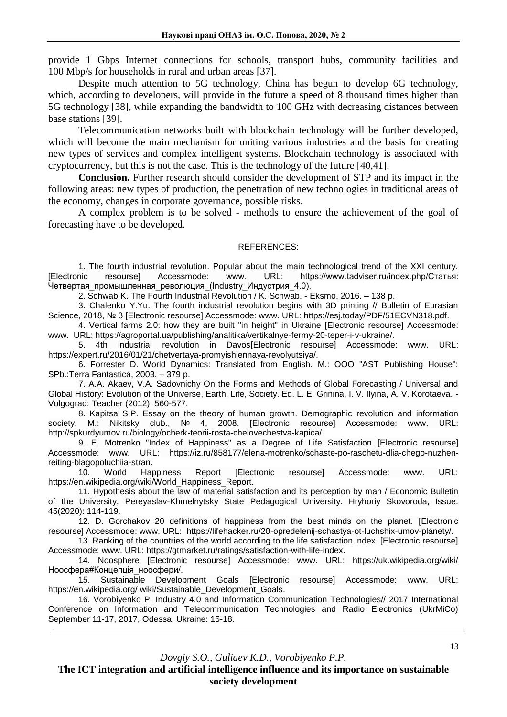provide 1 Gbps Internet connections for schools, transport hubs, community facilities and 100 Mbp/s for households in rural and urban areas [37].

Despite much attention to 5G technology, China has begun to develop 6G technology, which, according to developers, will provide in the future a speed of 8 thousand times higher than 5G technology [38], while expanding the bandwidth to 100 GHz with decreasing distances between base stations [39].

Telecommunication networks built with blockchain technology will be further developed, which will become the main mechanism for uniting various industries and the basis for creating new types of services and complex intelligent systems. Blockchain technology is associated with cryptocurrency, but this is not the case. This is the technology of the future [40,41].

**Conclusion.** Further research should consider the development of STP and its impact in the following areas: new types of production, the penetration of new technologies in traditional areas of the economy, changes in corporate governance, possible risks.

A complex problem is to be solved - methods to ensure the achievement of the goal of forecasting have to be developed.

#### REFERENCES:

1. The fourth industrial revolution. Popular about the main technological trend of the XXI century.<br>[Electronic resourse] Accessmode: www. URL: https://www.tadviser.ru/index.php/Статья: [Electronic resourse] Accessmode: www. URL: https://www.tadviser.ru/index.php/Статья: .<br>Четвертая промышленная революция (Industry Индустрия 4.0).

2. Schwab K. The Fourth Industrial Revolution / K. Schwab. - Eksmo, 2016. – 138 p.

3. Chalenko Y.Yu. The fourth industrial revolution begins with 3D printing // Bulletin of Eurasian Science, 2018, № 3 [Electronic resourse] Accessmode: www. URL: [https://esj.today/PDF/51ECVN318.pdf.](https://esj.today/PDF/51ECVN318.pdf)

4. Vertical farms 2.0: how they are built "in height" in Ukraine [Electronic resourse] Accessmode: www. URL: [https://agroportal.ua/publishing/analitika/vertikalnye-fermy-20-teper-i-v-ukraine/.](https://agroportal.ua/publishing/analitika/vertikalnye-fermy-20-teper-i-v-ukraine/)

5. 4th industrial revolution in Davos[Electronic resourse] Accessmode: www. URL: [https://expert.ru/2016/01/21/chetvertaya-promyishlennaya-revolyutsiya/.](https://expert.ru/2016/01/21/chetvertaya-promyishlennaya-revolyutsiya/)

6. Forrester D. World Dynamics: Translated from English. M.: OOO "AST Publishing House": SPb.:Terra Fantastica, 2003. – 379 p.

7. A.A. Akaev, V.A. Sadovnichy On the Forms and Methods of Global Forecasting / Universal and Global History: Evolution of the Universe, Earth, Life, Society. Ed. L. E. Grinina, I. V. Ilyina, A. V. Korotaeva. - Volgograd: Teacher (2012): 560-577.

8. Kapitsa S.P. Essay on the theory of human growth. Demographic revolution and information society. M.: Nikitsky club., № 4, 2008. [Electronic resourse] Accessmode: www. URL: http://spkurdyumov.ru/biology/ocherk-teorii-rosta-chelovechestva-kapica/.

9. E. Motrenko "Index of Happiness" as a Degree of Life Satisfaction [Electronic resourse] Accessmode: www. URL: https://iz.ru/858177/elena-motrenko/schaste-po-raschetu-dlia-chego-nuzhenreiting-blagopoluchiia-stran.

10. World Happiness Report [Electronic resourse] Accessmode: www. URL: https://en.wikipedia.org/wiki/World\_Happiness\_Report.

11. Hypothesis about the law of material satisfaction and its perception by man / Economic Bulletin of the University, Pereyaslav-Khmelnytsky State Pedagogical University. Hryhoriy Skovoroda, Issue. 45(2020): 114-119.

12. D. Gorchakov 20 definitions of happiness from the best minds on the planet. [Electronic resourse] Accessmode: www. URL: https://lifehacker.ru/20-opredelenij-schastya-ot-luchshix-umov-planety/.

13. Ranking of the countries of the world according to the life satisfaction index. [Electronic resourse] Accessmode: www. URL: https://gtmarket.ru/ratings/satisfaction-with-life-index.

14. Noosphere [Electronic resourse] Accessmode: www. URL: https://uk.wikipedia.org/wiki/ Ноосфера#Концепція\_ноосфери/.

15. Sustainable Development Goals [Electronic resourse] Accessmode: www. URL: [https://en.wikipedia.org/ wiki/Sustainable\\_Development\\_Goals.](https://en.wikipedia.org/wiki/Sustainable_Development_Goals)

16. Vorobiyenko P. Industry 4.0 and Information Communication Technologies// 2017 International Conference on Information and Telecommunication Technologies and Radio Electronics (UkrMiCo) September 11-17, 2017, Odessa, Ukraine: 15-18.

*Dovgiy S.O., Guliaev K.D., Vorobiyenko P.P.*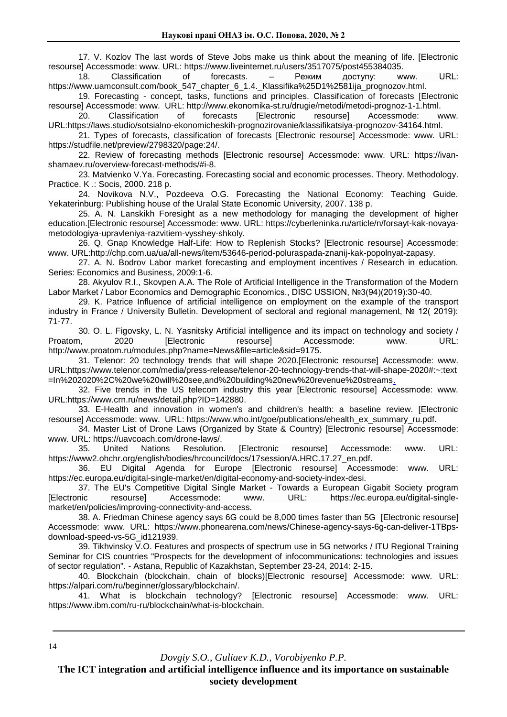17. V. Kozlov The last words of Steve Jobs make us think about the meaning of life. [Electronic resourse] Accessmode: www. URL: https://www.liveinternet.ru/users/3517075/post455384035.

18. Classification of forecasts. – Режим доступу: www. URL: [https://www.uamconsult.com/book\\_547\\_chapter\\_6\\_1.4.\\_Klassifika%25D1%2581ija\\_prognozov.html.](https://www.uamconsult.com/book_547_chapter_6_1.4._Klassifika%25D1%2581ija_prognozov.html)

19. Forecasting - concept, tasks, functions and principles. Classification of forecasts [Electronic resourse] Accessmode: www. URL: [http://www.ekonomika-st.ru/drugie/metodi/metodi-prognoz-1-1.html.](http://www.ekonomika-st.ru/drugie/metodi/metodi-prognoz-1-1.html)<br>20. Classification of forecasts [Electronic resourse] Accessmode: w

20. Classification of forecasts [Electronic resourse] Accessmode: www. URL[:https://laws.studio/sotsialno-ekonomicheskih-prognozirovanie/klassifikatsiya-prognozov-34164.html.](https://laws.studio/sotsialno-ekonomicheskih-prognozirovanie/klassifikatsiya-prognozov-34164.html)

21. Types of forecasts, classification of forecasts [Electronic resourse] Accessmode: www. URL: [https://studfile.net/preview/2798320/page:24/.](https://studfile.net/preview/2798320/page:24/)

22. Review of forecasting methods [Electronic resourse] Accessmode: www. URL: [https://ivan](https://ivan-shamaev.ru/overview-forecast-methods/#i-8)[shamaev.ru/overview-forecast-methods/#i-8.](https://ivan-shamaev.ru/overview-forecast-methods/#i-8)

23. Matvienko V.Ya. Forecasting. Forecasting social and economic processes. Theory. Methodology. Practice. K .: Socis, 2000. 218 p.

24. Novikova N.V., Pozdeeva O.G. Forecasting the National Economy: Teaching Guide. Yekaterinburg: Publishing house of the Uralal State Economic University, 2007. 138 p.

25. A. N. Lanskikh Foresight as a new methodology for managing the development of higher education.[Electronic resourse] Accessmode: www. URL: [https://cyberleninka.ru/article/n/forsayt-kak-novaya](https://cyberleninka.ru/article/n/forsayt-kak-novaya-metodologiya-upravleniya-razvitiem-vysshey-shkoly)[metodologiya-upravleniya-razvitiem-vysshey-shkoly.](https://cyberleninka.ru/article/n/forsayt-kak-novaya-metodologiya-upravleniya-razvitiem-vysshey-shkoly)

26. Q. Gnap Knowledge Half-Life: How to Replenish Stocks? [Electronic resourse] Accessmode: www. URL[:http://chp.com.ua/ua/all-news/item/53646-period-poluraspada-znanij-kak-popolnyat-zapasy.](http://chp.com.ua/ua/all-news/item/53646-period-poluraspada-znanij-kak-popolnyat-zapasy)

27. A. N. Bodrov Labor market forecasting and employment incentives / Research in education. Series: Economics and Business, 2009:1-6.

28. Akyulov R.I., Skovpen A.A. The Role of Artificial Intelligence in the Transformation of the Modern Labor Market / Labor Economics and Demographic Economics., DISC USSION, №3(94)(2019):30-40.

29. K. Patrice Influence of artificial intelligence on employment on the example of the transport industry in France / University Bulletin. Development of sectoral and regional management, № 12( 2019): 71-77.

30. O. L. Figovsky, L. N. Yasnitsky Artificial intelligence and its impact on technology and society / Proatom. 2020 [Electronic resourse] Accessmode: www. URL: [http://www.proatom.ru/modules.php?name=News&file=article&sid=9175.](http://www.proatom.ru/modules.php?name=News&file=article&sid=9175)

31. Telenor: 20 technology trends that will shape 2020.[Electronic resourse] Accessmode: www. URL[:https://www.telenor.com/media/press-release/telenor-20-technology-trends-that-will-shape-2020#:~:text](https://www.telenor.com/media/press-release/telenor-20-technology-trends-that-will-shape-2020#:~:text =In%202020%2C%20we%20will%20see,and%20building%20new%20revenue%20streams)  [=In%202020%2C%20we%20will%20see,and%20building%20new%20revenue%20streams.](https://www.telenor.com/media/press-release/telenor-20-technology-trends-that-will-shape-2020#:~:text =In%202020%2C%20we%20will%20see,and%20building%20new%20revenue%20streams)

32. Five trends in the US telecom industry this year [Electronic resourse] Accessmode: www. URL[:https://www.crn.ru/news/detail.php?ID=142880.](https://www.crn.ru/news/detail.php?ID=142880)

33. E-Health and innovation in women's and children's health: a baseline review. [Electronic resourse] Accessmode: www. URL: https://www.who.int/goe/publications/ehealth\_ex\_summary\_ru.pdf.

34. Master List of Drone Laws (Organized by State & Country) [Electronic resourse] Accessmode: www. URL: https://uavcoach.com/drone-laws/.

35. United Nations Resolution. [Electronic resourse] Accessmode: www. URL: https://www2.ohchr.org/english/bodies/hrcouncil/docs/17session/A.HRC.17.27\_en.pdf.

36. EU Digital Agenda for Europe [Electronic resourse] Accessmode: www. URL: https://ec.europa.eu/digital-single-market/en/digital-economy-and-society-index-desi.

37. The EU's Competitive Digital Single Market - Towards a European Gigabit Society program [Electronic resourse] Accessmode: www. URL: https://ec.europa.eu/digital-singlemarket/en/policies/improving-connectivity-and-access.

38. A. Friedman Chinese agency says 6G could be 8,000 times faster than 5G [Electronic resourse] Accessmode: www. URL: https://www.phonearena.com/news/Chinese-agency-says-6g-can-deliver-1TBpsdownload-speed-vs-5G\_id121939.

39. Tikhvinsky V.O. Features and prospects of spectrum use in 5G networks / ITU Regional Training Seminar for CIS countries "Prospects for the development of infocommunications: technologies and issues of sector regulation". - Astana, Republic of Kazakhstan, September 23-24, 2014: 2-15.

40. Blockchain (blockchain, chain of blocks)[Electronic resourse] Accessmode: www. URL: https://alpari.com/ru/beginner/glossary/blockchain/.

41. What is blockchain technology? [Electronic resourse] Accessmode: www. URL: https://www.ibm.com/ru-ru/blockchain/what-is-blockchain.

*Dovgiy S.O., Guliaev K.D., Vorobiyenko P.P.*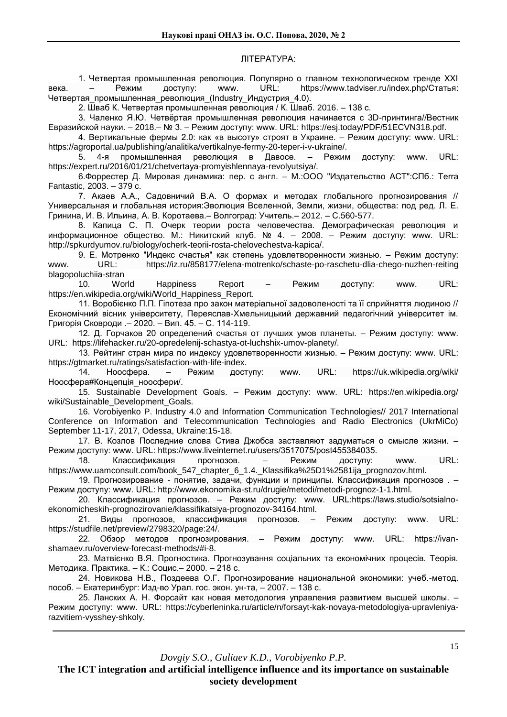#### ЛІТЕРАТУРА:

1. Четвертая промышленная революция. Популярно о главном технологическом тренде XXI века. – Режим доступу: www. URL: [https://www.tadviser.ru/index.php/Статья:](https://www.tadviser.ru/index.php/Статья) Четвертая промышленная революция (Industry Индустрия 4.0).

2. Шваб К. Четвертая промышленная революция / К. Шваб. 2016. – 138 с.

3. Чаленко Я.Ю. Четвёртая промышленная революция начинается с 3D-принтинга//Вестник Евразийской науки. – 2018.– № 3. – Режим доступу: www. URL: https://esj.today/PDF/51ECVN318.pdf.

4. Вертикальные фермы 2.0: как «в высоту» строят в Украине. – Режим доступу: www. URL: [https://agroportal.ua/publishing/analitika/vertikalnye-fermy-20-teper-i-v-ukraine/.](https://agroportal.ua/publishing/analitika/vertikalnye-fermy-20-teper-i-v-ukraine/)

5. 4-я промышленная революция в Давосе. – Режим доступу: www. URL: [https://expert.ru/2016/01/21/chetvertaya-promyishlennaya-revolyutsiya/.](https://expert.ru/2016/01/21/chetvertaya-promyishlennaya-revolyutsiya/)

6.Форрестер Д. Мировая динамика: пер. с англ. – М.:ООО "Издательство АСТ":СПб.: Terra Fantastic, 2003. – 379 c.

7. Акаев А.А., Садовничий В.А. О формах и методах глобального прогнозирования // Универсальная и глобальная история:Эволюция Вселенной, Земли, жизни, общества: под ред. Л. Е. Гринина, И. В. Ильина, А. В. Коротаева.– Волгоград: Учитель.– 2012. – С.560-577.

8. Капица С. П. Очерк теории роста человечества. Демографическая революция и информационное общество. М.: Никитский клуб. № 4. – 2008. – Режим доступу: www. URL: http://spkurdyumov.ru/biology/ocherk-teorii-rosta-chelovechestva-kapica/.

9. Е. Мотренко "Индекс счастья" как степень удовлетворенности жизнью. – Режим доступу: www. URL: [https://iz.ru/858177/elena-motrenko/schaste-po-raschetu-dlia-chego-nuzhen-reiting](https://iz.ru/858177/elena-motrenko/schaste-po-raschetu-dlia-chego-nuzhen-reiting%20blagopoluchiia-)  [blagopoluchiia-s](https://iz.ru/858177/elena-motrenko/schaste-po-raschetu-dlia-chego-nuzhen-reiting%20blagopoluchiia-)tran

10. World Happiness Report – Режим доступу: www. URL: https://en.wikipedia.org/wiki/World\_Happiness\_Report.

11. Воробієнко П.П. Гіпотеза про закон матеріальної задоволеності та її сприйняття людиною // Економічний вісник університету, Переяслав-Хмельницький державний педагогічний університет ім. Григорія Сковроди .– 2020. – Вип. 45. – С. 114-119.

12. Д. Горчаков 20 определений счастья от лучших умов планеты. – Режим доступу: www. URL: https://lifehacker.ru/20-opredelenij-schastya-ot-luchshix-umov-planety/.

13. Рейтинг стран мира по индексу удовлетворенности жизнью. – Режим доступу: www. URL: https://gtmarket.ru/ratings/satisfaction-with-life-index.

14. Ноосфера. – Режим доступу: www. URL: https://uk.wikipedia.org/wiki/ Ноосфера#Концепція\_ноосфери/.

15. Sustainable Development Goals. – Режим доступу: www. URL: https://en.wikipedia.org/ wiki/Sustainable\_Development\_Goals.

16. Vorobiyenko P. Industry 4.0 and Information Communication Technologies// 2017 International Conference on Information and Telecommunication Technologies and Radio Electronics (UkrMiCo) September 11-17, 2017, Odessa, Ukraine:15-18.

17. В. Козлов Последние слова Стива Джобса заставляют задуматься о смысле жизни. – Режим доступу: www. URL: https://www.liveinternet.ru/users/3517075/post455384035.

18. Классификация прогнозов. – Режим доступу: www. URL: https://www.uamconsult.com/book\_547\_chapter\_6\_1.4.\_Klassifika%25D1%2581ija\_prognozov.html.

19. Прогнозирование - понятие, задачи, функции и принципы. Классификация прогнозов . – Режим доступу: www. URL: http://www.ekonomika-st.ru/drugie/metodi/metodi-prognoz-1-1.html.

20. Классификация прогнозов. – Режим доступу: www. URL:https://laws.studio/sotsialnoekonomicheskih-prognozirovanie/klassifikatsiya-prognozov-34164.html.

21. Виды прогнозов, классификация прогнозов. – Режим доступу: www. URL: https://studfile.net/preview/2798320/page:24/.

22. Обзор методов прогнозирования. – Режим доступу: www. URL: https://ivanshamaev.ru/overview-forecast-methods/#i-8.

23. Матвієнко В.Я. Прогностика. Прогнозування соціальних та економічних процесів. Теорія. Методика. Практика. – К.: Социс.– 2000. – 218 с.

24. Новикова Н.В., Поздеева О.Г. Прогнозирование национальной экономики: учеб.-метод. пособ. – Екатеринбург: Изд-во Урал. гос. экон. ун-та, – 2007. – 138 с.

25. Ланских А. Н. Форсайт как новая методология управления развитием высшей школы. – Режим доступу: www. URL: https://cyberleninka.ru/article/n/forsayt-kak-novaya-metodologiya-upravleniyarazvitiem-vysshey-shkoly.

*Dovgiy S.O., Guliaev K.D., Vorobiyenko P.P.*